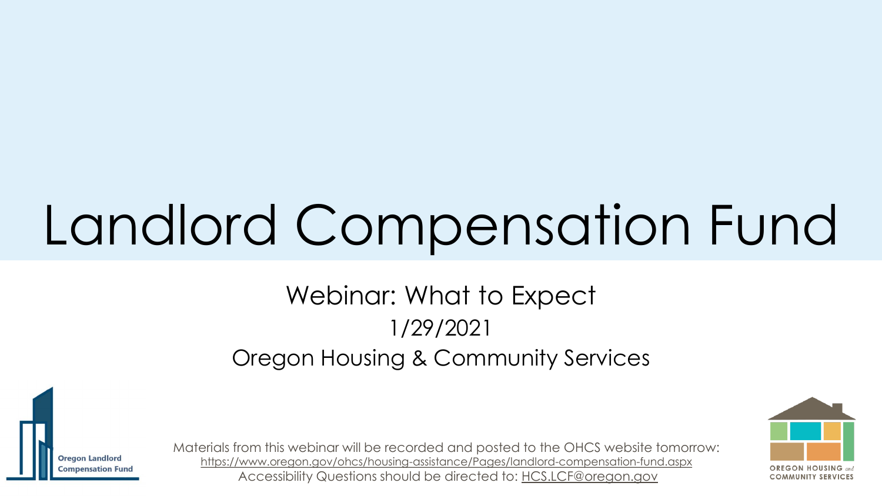# Landlord Compensation Fund

### Webinar: What to Expect 1/29/2021 Oregon Housing & Community Services





Materials from this webinar will be recorded and posted to the OHCS website tomorrow: <https://www.oregon.gov/ohcs/housing-assistance/Pages/landlord-compensation-fund.aspx> Accessibility Questions should be directed to: [HCS.LCF@oregon.gov](mailto:HCS.LCF@oregon.gov)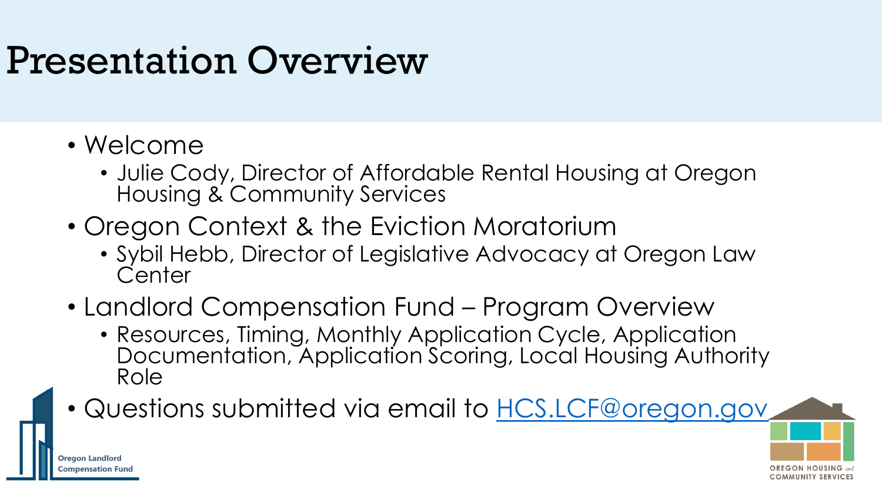## Presentation Overview

• Welcome

**Oregon Landlord** mpensation Fund

- Julie Cody, Director of Affordable Rental Housing at Oregon Housing & Community Services
- Oregon Context & the Eviction Moratorium
	- Sybil Hebb, Director of Legislative Advocacy at Oregon Law **Center**
- Landlord Compensation Fund Program Overview
	- Resources, Timing, Monthly Application Cycle, Application Documentation, Application Scoring, Local Housing Authority Role
- Questions submitted via email to [HCS.LCF@oregon.gov](mailto:HCS.LCF@oregon.gov)

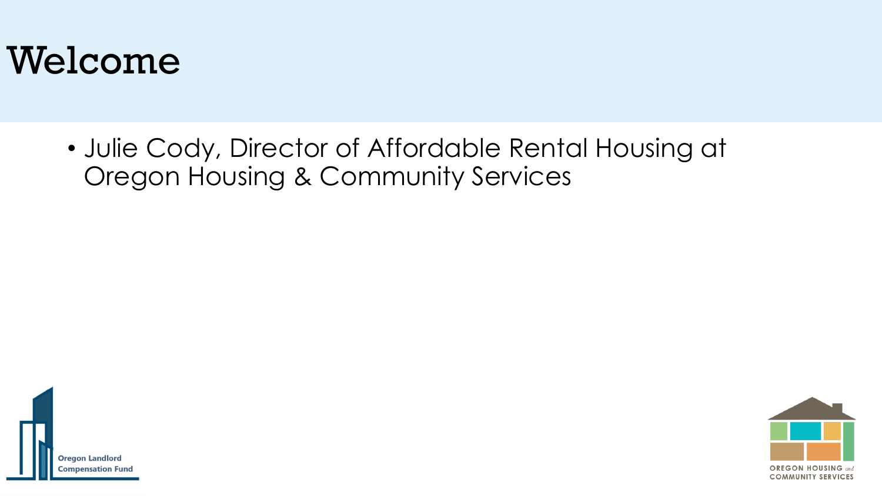## Welcome

• Julie Cody, Director of Affordable Rental Housing at Oregon Housing & Community Services



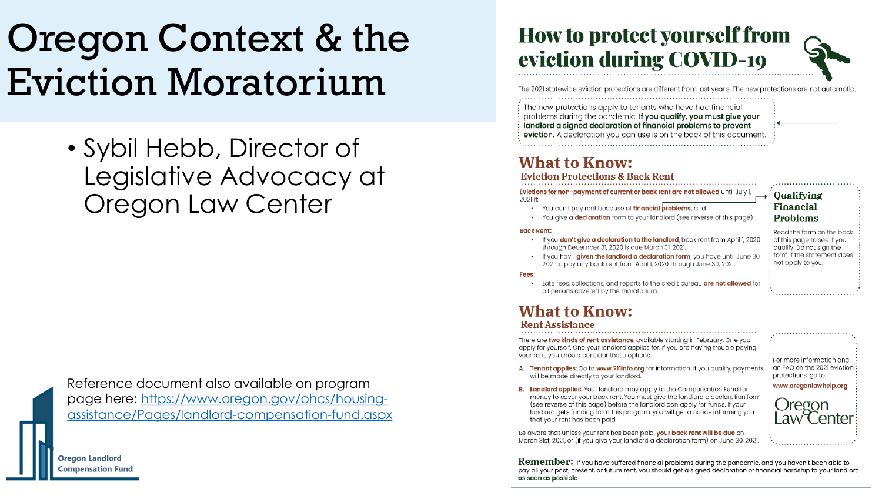## Oregon Context & the Eviction Moratorium

• Sybil Hebb, Director of Legislative Advocacy at Oregon Law Center

Reference document also available on program page here: https://www.oregon.gov/ohcs/housing[assistance/Pages/landlord-compensation-fund.aspx](https://www.oregon.gov/ohcs/housing-assistance/Pages/landlord-compensation-fund.aspx)

#### **How to protect yourself from** eviction during COVID-19

The 2021 statewide eviction protections are different from last year's. The new protections are not automatic.

The new protections apply to tenants who have had financial problems during the pandemic. If you qualify, you must give your landlord a signed declaration of financial problems to prevent eviction. A declaration you can use is on the back of this document.

#### **What to Know:**

**Eviction Protections & Back Rent** 

Evictions for non-payment of current or back rent are not allowed until July 2021 if:

- You can't pay rent because of financial problems; and
- You aive a **declaration** form to your landlord (see reverse of this page)

#### **Back Rent:**

- . If you don't give a declaration to the landlord, back rent from April 1, 2020 through December 31, 2020 is due March 31, 2021.
- If you hav given the landlord a declaration form, you have until June 30, 2021 to pay any back rent from April 1, 2020 through June 30, 2021.

#### Fees:

Late fees, collections, and reports to the credit bureau **are not allowed** for all periods covered by the moratorium.

#### **What to Know:**

#### **Rent Assistance**

There are two kinds of rent assistance, available starting in February. One you apply for yourself. One your landlord applies for. If you are having trouble paying your rent, you should consider these options:

A. Tenant applies: Go to www.211info.org for information. If you qualify, payments will be made directly to your landlord.

For more information and : an FAQ on the 2021 eviction protections, go to:

aw Center

www.oregonlawhelp.org Oregon

Oualifying

**Financial** 

**Problems** 

not apply to you.

Read the form on the back

of this page to see if you

qualify. Do not sign the form if the statement does

B. Landlord applies: Your landlord may apply to the Compensation Fund for money to cover your back rent. You must give the landlord a declaration form (see reverse of this page) before the landlord can apply for funds. If your landlord aets funding from this program, you will get a notice informing you that your rent has been paid.

Be aware that unless your rent has been paid, your back rent will be due on March 31st, 2021, or (if you give your landlord a declaration form) on June 30, 2021.

**Remember:** If you have suffered financial problems during the pandemic, and you haven't been able to pay all your past, present, or future rent, you should get a signed declaration of financial hardship to your landlord as soon as possible.

**Oregon Landlord Compensation Fund**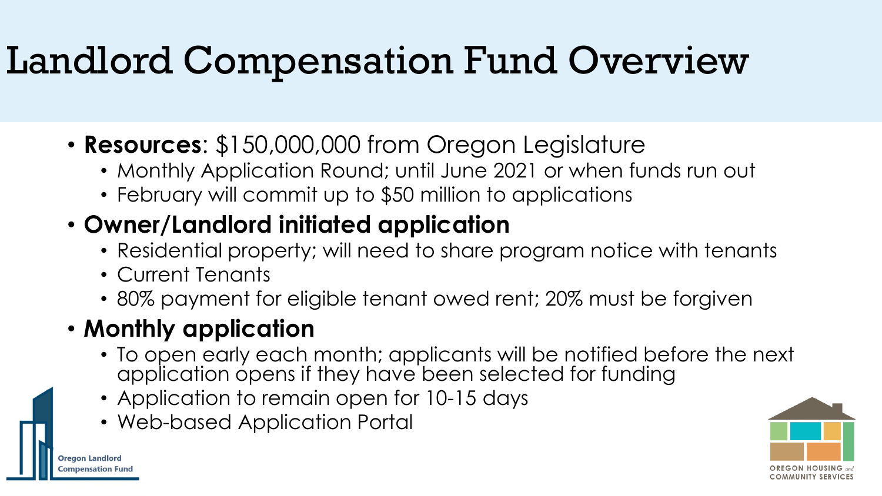## Landlord Compensation Fund Overview

- **Resources**: \$150,000,000 from Oregon Legislature
	- Monthly Application Round; until June 2021 or when funds run out
	- February will commit up to \$50 million to applications

### • **Owner/Landlord initiated application**

- Residential property; will need to share program notice with tenants
- Current Tenants
- 80% payment for eligible tenant owed rent; 20% must be forgiven

### • **Monthly application**

**Oregon Landlord** mpensation Fund

- To open early each month; applicants will be notified before the next application opens if they have been selected for funding
- Application to remain open for 10-15 days
- Web-based Application Portal

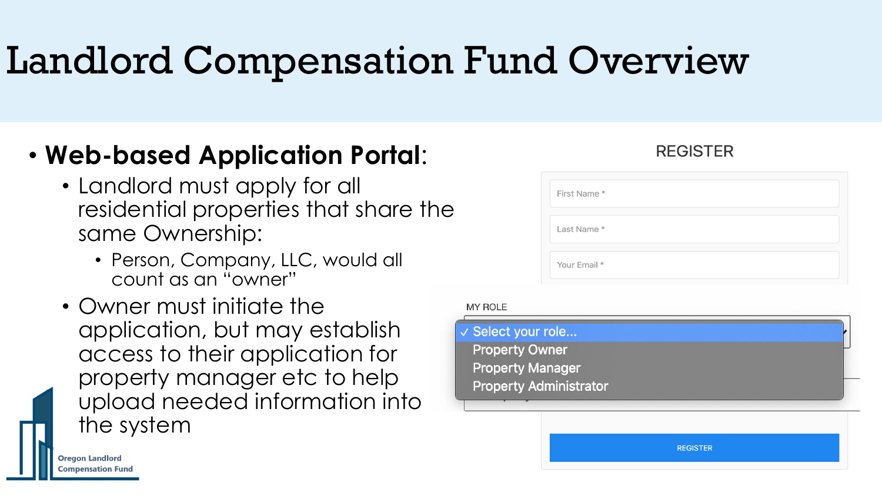## Landlord Compensation Fund Overview

### • **Web-based Application Portal**:

- Landlord must apply for all residential properties that share the same Ownership:
	- Person, Company, LLC, would all count as an "owner"
- Owner must initiate the application, but may establish access to their application for property manager etc to help upload needed information into the system

## First Name \* Last Name \* Your Email \*

**REGISTER** 

#### **MY ROLE**



**REGISTER** 

**Oregon Landlord Compensation Fund**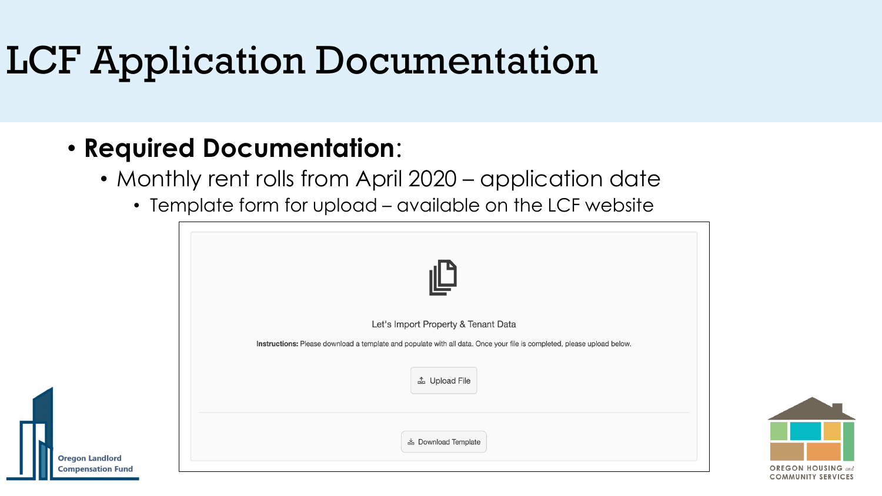## LCF Application Documentation

### • **Required Documentation**:

Dreaon L

- Monthly rent rolls from April 2020 application date
	- Template form for upload available on the LCF website

| Let's Import Property & Tenant Data                                                                                    |
|------------------------------------------------------------------------------------------------------------------------|
| Instructions: Please download a template and populate with all data. Once your file is completed, please upload below. |
| <b>4</b> Upload File                                                                                                   |
| <b>上 Download Template</b>                                                                                             |
|                                                                                                                        |

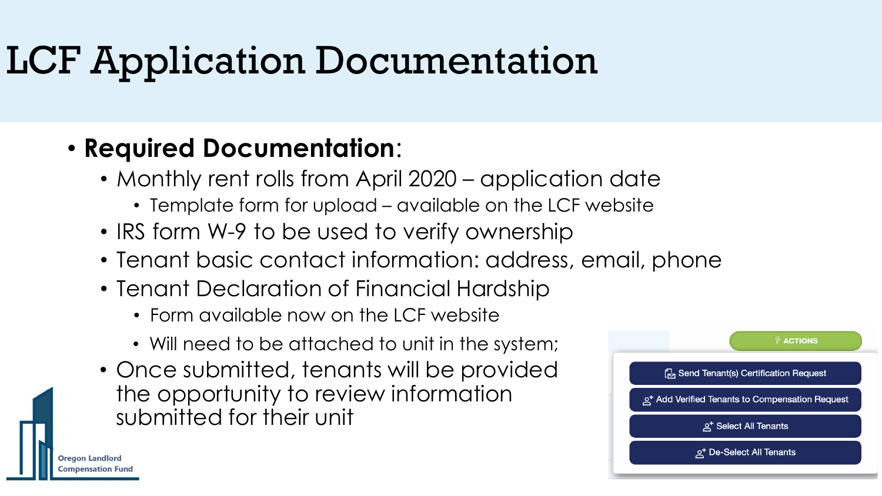## LCF Application Documentation

### • **Required Documentation**:

- Monthly rent rolls from April 2020 application date
	- Template form for upload available on the LCF website
- IRS form W-9 to be used to verify ownership
- Tenant basic contact information: address, email, phone
- Tenant Declaration of Financial Hardship
	- Form available now on the LCF website
	- Will need to be attached to unit in the system;
- Once submitted, tenants will be provided the opportunity to review information submitted for their unit

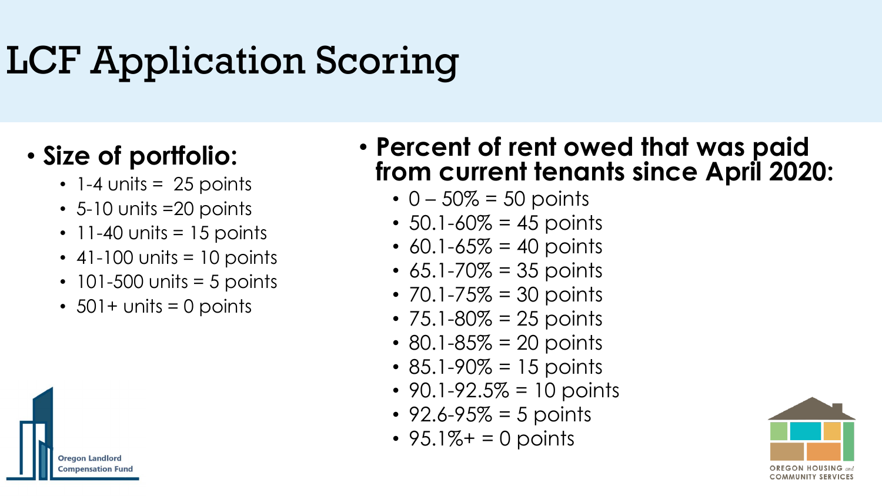## LCF Application Scoring

### • **Size of portfolio:**

- $\cdot$  1-4 units = 25 points
- 5-10 units =20 points
- $\cdot$  11-40 units = 15 points
- $\cdot$  41-100 units = 10 points
- $\cdot$  101-500 units = 5 points
- $\cdot$  501+ units = 0 points

#### • **Percent of rent owed that was paid from current tenants since April 2020:**

- $0 50\% = 50$  points
- $50.1 60\% = 45$  points
- $60.1 65\% = 40$  points
- $65.1 70\% = 35$  points
- $70.1 75\% = 30$  points
- $75.1 80\% = 25$  points
- 80.1-85 $% = 20$  points
- 85.1-90 $% = 15$  points
- $90.1 92.5\% = 10$  points
- $92.6 95\% = 5$  points
- $95.1\% + 0$  points



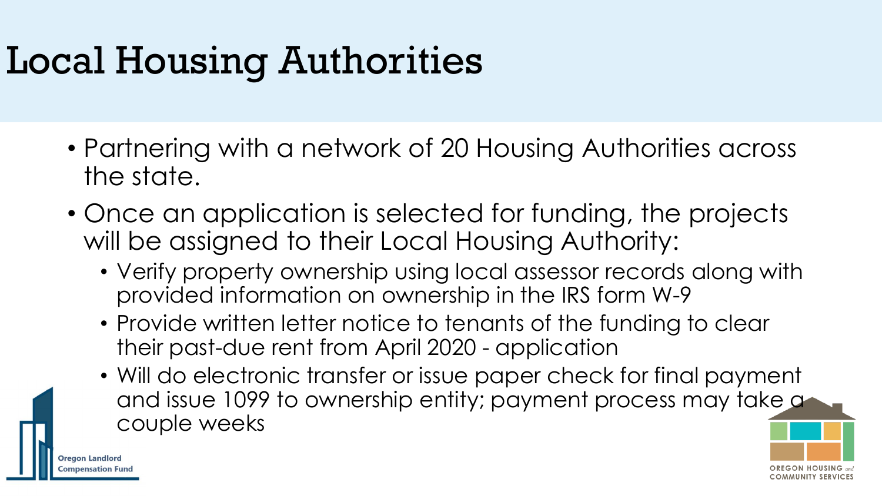## Local Housing Authorities

**Oregon Landlord** npensation Func

- Partnering with a network of 20 Housing Authorities across the state.
- Once an application is selected for funding, the projects will be assigned to their Local Housing Authority:
	- Verify property ownership using local assessor records along with provided information on ownership in the IRS form W-9
	- Provide written letter notice to tenants of the funding to clear their past-due rent from April 2020 - application
	- Will do electronic transfer or issue paper check for final payment and issue 1099 to ownership entity; payment process may take a couple weeks

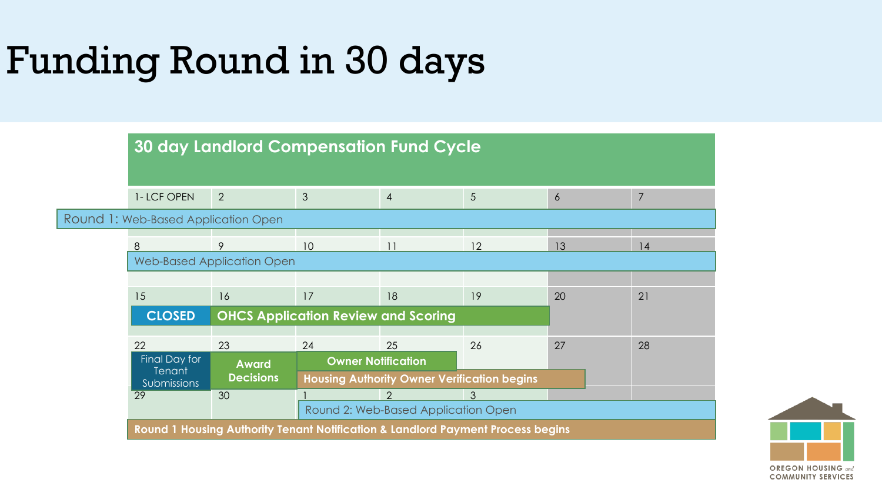## Funding Round in 30 days

|                                     | <b>30 day Landlord Compensation Fund Cycle</b>                                  |                                            |                                     |                                                    |    |                |                |  |
|-------------------------------------|---------------------------------------------------------------------------------|--------------------------------------------|-------------------------------------|----------------------------------------------------|----|----------------|----------------|--|
|                                     | 1-LCF OPEN                                                                      | 2                                          | 3                                   | $\overline{4}$                                     | 5  | $\overline{6}$ | $\overline{7}$ |  |
| Round 1: Web-Based Application Open |                                                                                 |                                            |                                     |                                                    |    |                |                |  |
|                                     | 8                                                                               | 9                                          | 10                                  |                                                    | 12 | 13             | 14             |  |
|                                     | <b>Web-Based Application Open</b>                                               |                                            |                                     |                                                    |    |                |                |  |
|                                     |                                                                                 |                                            |                                     |                                                    |    |                |                |  |
|                                     | 15                                                                              | 16                                         | 17                                  | 18                                                 | 19 | 20             | 21             |  |
|                                     | <b>CLOSED</b>                                                                   | <b>OHCS Application Review and Scoring</b> |                                     |                                                    |    |                |                |  |
|                                     | 22                                                                              | 23                                         | 24                                  | 25                                                 | 26 | 27             | 28             |  |
|                                     | Final Day for<br><b>Award</b><br>Tenant<br><b>Decisions</b><br>Submissions      |                                            | <b>Owner Notification</b>           |                                                    |    |                |                |  |
|                                     |                                                                                 |                                            |                                     | <b>Housing Authority Owner Verification begins</b> |    |                |                |  |
|                                     | $\overline{29}$                                                                 | 30                                         |                                     | $\mathcal{D}$                                      | 3  |                |                |  |
|                                     |                                                                                 |                                            | Round 2: Web-Based Application Open |                                                    |    |                |                |  |
|                                     | Round 1 Housing Authority Tenant Notification & Landlord Payment Process begins |                                            |                                     |                                                    |    |                |                |  |

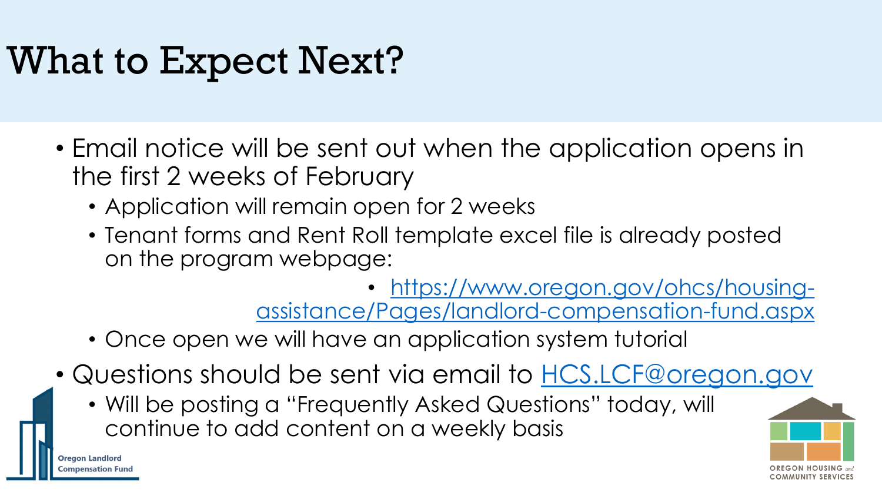## What to Expect Next?

- Email notice will be sent out when the application opens in the first 2 weeks of February
	- Application will remain open for 2 weeks
	- Tenant forms and Rent Roll template excel file is already posted on the program webpage:

• https://www.oregon.gov/ohcs/housing[assistance/Pages/landlord-compensation-fund.aspx](https://www.oregon.gov/ohcs/housing-assistance/Pages/landlord-compensation-fund.aspx)

- Once open we will have an application system tutorial
- Questions should be sent via email to [HCS.LCF@oregon.gov](mailto:HCS.LCF@oregon.gov)
	- Will be posting a "Frequently Asked Questions" today, will continue to add content on a weekly basis



**Oregon Landlord mpensation Fund**